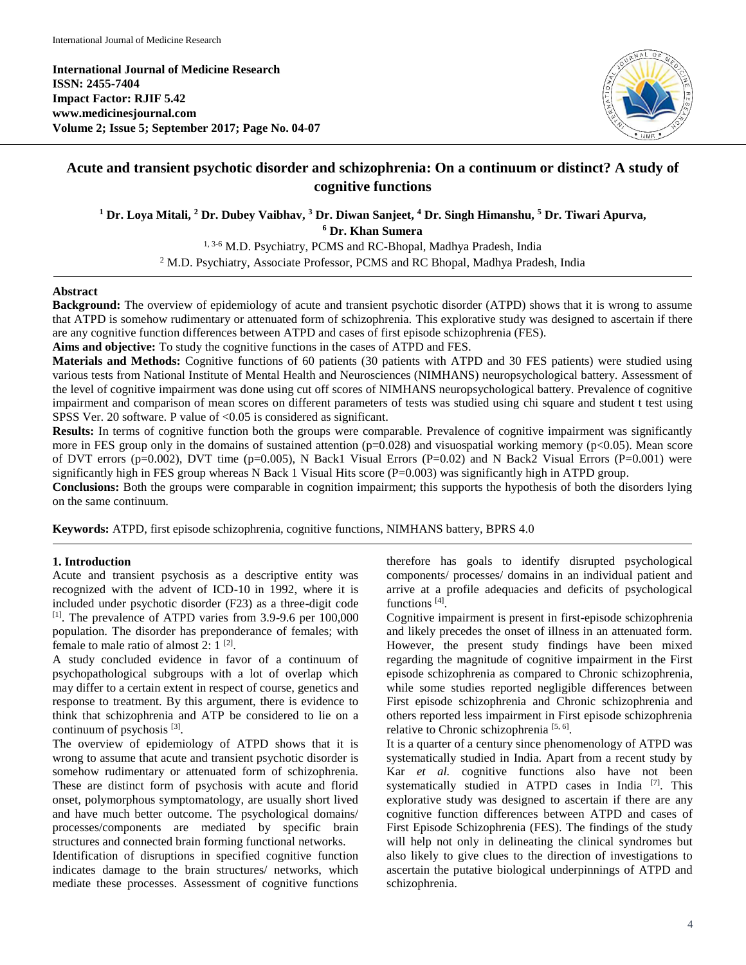**International Journal of Medicine Research ISSN: 2455-7404 Impact Factor: RJIF 5.42 www.medicinesjournal.com Volume 2; Issue 5; September 2017; Page No. 04-07**



# **Acute and transient psychotic disorder and schizophrenia: On a continuum or distinct? A study of cognitive functions**

**<sup>1</sup> Dr. Loya Mitali, <sup>2</sup> Dr. Dubey Vaibhav, <sup>3</sup> Dr. Diwan Sanjeet, <sup>4</sup> Dr. Singh Himanshu, <sup>5</sup> Dr. Tiwari Apurva,**

**<sup>6</sup> Dr. Khan Sumera**

<sup>1, 3-6</sup> M.D. Psychiatry, PCMS and RC-Bhopal, Madhya Pradesh, India

<sup>2</sup> M.D. Psychiatry, Associate Professor, PCMS and RC Bhopal, Madhya Pradesh, India

## **Abstract**

**Background:** The overview of epidemiology of acute and transient psychotic disorder (ATPD) shows that it is wrong to assume that ATPD is somehow rudimentary or attenuated form of schizophrenia. This explorative study was designed to ascertain if there are any cognitive function differences between ATPD and cases of first episode schizophrenia (FES).

**Aims and objective:** To study the cognitive functions in the cases of ATPD and FES.

**Materials and Methods:** Cognitive functions of 60 patients (30 patients with ATPD and 30 FES patients) were studied using various tests from National Institute of Mental Health and Neurosciences (NIMHANS) neuropsychological battery. Assessment of the level of cognitive impairment was done using cut off scores of NIMHANS neuropsychological battery. Prevalence of cognitive impairment and comparison of mean scores on different parameters of tests was studied using chi square and student t test using SPSS Ver. 20 software. P value of <0.05 is considered as significant.

**Results:** In terms of cognitive function both the groups were comparable. Prevalence of cognitive impairment was significantly more in FES group only in the domains of sustained attention  $(p=0.028)$  and visuospatial working memory  $(p<0.05)$ . Mean score of DVT errors ( $p=0.002$ ), DVT time ( $p=0.005$ ), N Back1 Visual Errors ( $P=0.02$ ) and N Back2 Visual Errors ( $P=0.001$ ) were significantly high in FES group whereas N Back 1 Visual Hits score  $(P=0.003)$  was significantly high in ATPD group.

**Conclusions:** Both the groups were comparable in cognition impairment; this supports the hypothesis of both the disorders lying on the same continuum.

**Keywords:** ATPD, first episode schizophrenia, cognitive functions, NIMHANS battery, BPRS 4.0

## **1. Introduction**

Acute and transient psychosis as a descriptive entity was recognized with the advent of ICD-10 in 1992, where it is included under psychotic disorder (F23) as a three-digit code [1]. The prevalence of ATPD varies from 3.9-9.6 per 100,000 population. The disorder has preponderance of females; with female to male ratio of almost 2:  $1^{[2]}$ .

A study concluded evidence in favor of a continuum of psychopathological subgroups with a lot of overlap which may differ to a certain extent in respect of course, genetics and response to treatment. By this argument, there is evidence to think that schizophrenia and ATP be considered to lie on a continuum of psychosis  $[3]$ .

The overview of epidemiology of ATPD shows that it is wrong to assume that acute and transient psychotic disorder is somehow rudimentary or attenuated form of schizophrenia. These are distinct form of psychosis with acute and florid onset, polymorphous symptomatology, are usually short lived and have much better outcome. The psychological domains/ processes/components are mediated by specific brain structures and connected brain forming functional networks.

Identification of disruptions in specified cognitive function indicates damage to the brain structures/ networks, which mediate these processes. Assessment of cognitive functions

therefore has goals to identify disrupted psychological components/ processes/ domains in an individual patient and arrive at a profile adequacies and deficits of psychological functions<sup>[4]</sup>.

Cognitive impairment is present in first-episode schizophrenia and likely precedes the onset of illness in an attenuated form. However, the present study findings have been mixed regarding the magnitude of cognitive impairment in the First episode schizophrenia as compared to Chronic schizophrenia, while some studies reported negligible differences between First episode schizophrenia and Chronic schizophrenia and others reported less impairment in First episode schizophrenia relative to Chronic schizophrenia<sup>[5, 6]</sup>.

It is a quarter of a century since phenomenology of ATPD was systematically studied in India. Apart from a recent study by Kar *et al.* cognitive functions also have not been systematically studied in ATPD cases in India [7]. This explorative study was designed to ascertain if there are any cognitive function differences between ATPD and cases of First Episode Schizophrenia (FES). The findings of the study will help not only in delineating the clinical syndromes but also likely to give clues to the direction of investigations to ascertain the putative biological underpinnings of ATPD and schizophrenia.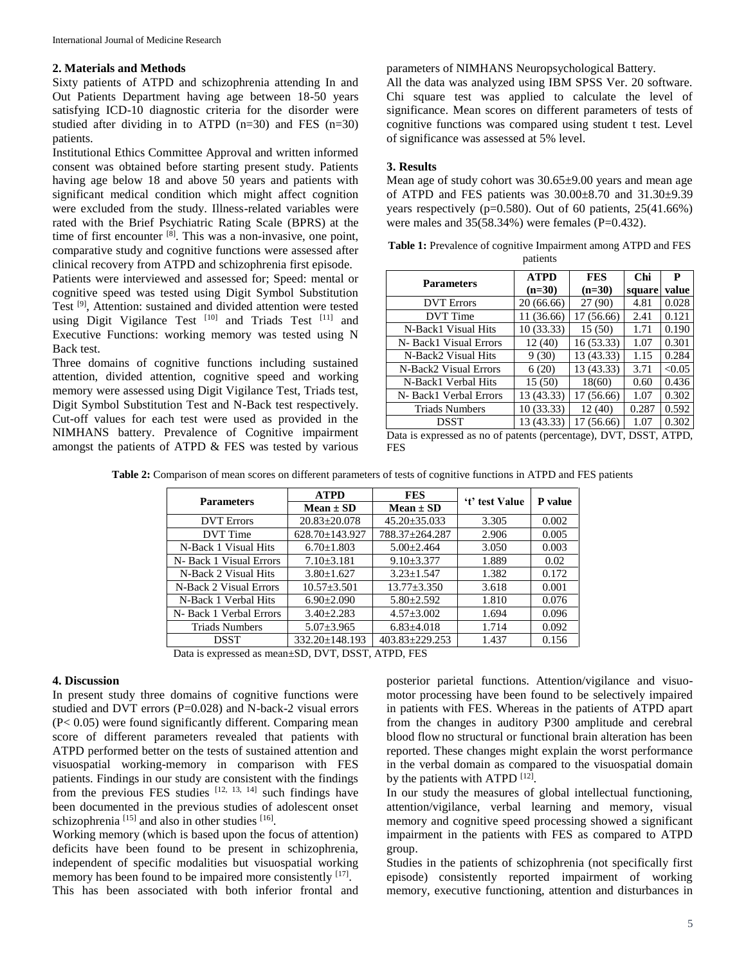## **2. Materials and Methods**

Sixty patients of ATPD and schizophrenia attending In and Out Patients Department having age between 18-50 years satisfying ICD-10 diagnostic criteria for the disorder were studied after dividing in to ATPD  $(n=30)$  and FES  $(n=30)$ patients.

Institutional Ethics Committee Approval and written informed consent was obtained before starting present study. Patients having age below 18 and above 50 years and patients with significant medical condition which might affect cognition were excluded from the study. Illness-related variables were rated with the Brief Psychiatric Rating Scale (BPRS) at the time of first encounter [8]. This was a non-invasive, one point, comparative study and cognitive functions were assessed after clinical recovery from ATPD and schizophrenia first episode.

Patients were interviewed and assessed for; Speed: mental or cognitive speed was tested using Digit Symbol Substitution Test <sup>[9]</sup>, Attention: sustained and divided attention were tested using Digit Vigilance Test [10] and Triads Test [11] and Executive Functions: working memory was tested using N Back test.

Three domains of cognitive functions including sustained attention, divided attention, cognitive speed and working memory were assessed using Digit Vigilance Test, Triads test, Digit Symbol Substitution Test and N-Back test respectively. Cut-off values for each test were used as provided in the NIMHANS battery. Prevalence of Cognitive impairment amongst the patients of ATPD & FES was tested by various

#### parameters of NIMHANS Neuropsychological Battery.

All the data was analyzed using IBM SPSS Ver. 20 software. Chi square test was applied to calculate the level of significance. Mean scores on different parameters of tests of cognitive functions was compared using student t test. Level of significance was assessed at 5% level.

#### **3. Results**

Mean age of study cohort was 30.65±9.00 years and mean age of ATPD and FES patients was 30.00±8.70 and 31.30±9.39 years respectively (p=0.580). Out of 60 patients, 25(41.66%) were males and  $35(58.34%)$  were females (P=0.432).

| <b>Parameters</b>                                                                 | <b>ATPD</b> | <b>FES</b> | Chi    | P      |  |  |
|-----------------------------------------------------------------------------------|-------------|------------|--------|--------|--|--|
|                                                                                   | $(n=30)$    | $(n=30)$   | square | value  |  |  |
| <b>DVT</b> Errors                                                                 | 20 (66.66)  | 27 (90)    | 4.81   | 0.028  |  |  |
| DVT Time                                                                          | 11 (36.66)  | 17 (56.66) | 2.41   | 0.121  |  |  |
| N-Back1 Visual Hits                                                               | 10 (33.33)  | 15(50)     | 1.71   | 0.190  |  |  |
| N- Back1 Visual Errors                                                            | 12(40)      | 16 (53.33) | 1.07   | 0.301  |  |  |
| N-Back2 Visual Hits                                                               | 9(30)       | 13 (43.33) | 1.15   | 0.284  |  |  |
| N-Back2 Visual Errors                                                             | 6(20)       | 13 (43.33) | 3.71   | < 0.05 |  |  |
| N-Back1 Verbal Hits                                                               | 15(50)      | 18(60)     | 0.60   | 0.436  |  |  |
| N- Back1 Verbal Errors                                                            | 13 (43.33)  | 17 (56.66) | 1.07   | 0.302  |  |  |
| <b>Triads Numbers</b>                                                             | 10 (33.33)  | 12(40)     | 0.287  | 0.592  |  |  |
| DSST                                                                              | 13 (43.33)  | 17 (56.66) | 1.07   | 0.302  |  |  |
| <b>DSST</b><br>Data is expressed as no of patents (percentage) DVT<br><b>ATPD</b> |             |            |        |        |  |  |

| <b>Table 1:</b> Prevalence of cognitive Impairment among ATPD and FES |
|-----------------------------------------------------------------------|
| patients                                                              |

**Table 2:** Comparison of mean scores on different parameters of tests of cognitive functions in ATPD and FES patients

|                         | <b>ATPD</b>                    | <b>FES</b>           |                |         |
|-------------------------|--------------------------------|----------------------|----------------|---------|
| <b>Parameters</b>       | $Mean \pm SD$<br>$Mean \pm SD$ |                      | 't' test Value | P value |
| <b>DVT</b> Errors       | $20.83 + 20.078$               | $45.20 \pm 35.033$   | 3.305          | 0.002   |
| DVT Time                | $628.70 \pm 143.927$           | 788.37±264.287       | 2.906          | 0.005   |
| N-Back 1 Visual Hits    | $6.70 + 1.803$                 | $5.00 + 2.464$       | 3.050          | 0.003   |
| N- Back 1 Visual Errors | $7.10 + 3.181$                 | $9.10 + 3.377$       | 1.889          | 0.02    |
| N-Back 2 Visual Hits    | $3.80 + 1.627$                 | $3.23 + 1.547$       | 1.382          | 0.172   |
| N-Back 2 Visual Errors  | $10.57 + 3.501$                | $13.77 + 3.350$      | 3.618          | 0.001   |
| N-Back 1 Verbal Hits    | $6.90 + 2.090$                 | $5.80 + 2.592$       | 1.810          | 0.076   |
| N- Back 1 Verbal Errors | $3.40 + 2.283$                 | $4.57 + 3.002$       | 1.694          | 0.096   |
| <b>Triads Numbers</b>   | $5.07 \pm 3.965$               | $6.83 + 4.018$       | 1.714          | 0.092   |
| <b>DSST</b>             | $332.20 \pm 148.193$           | $403.83 \pm 229.253$ | 1.437          | 0.156   |

Data is expressed as mean±SD, DVT, DSST, ATPD, FES

#### **4. Discussion**

In present study three domains of cognitive functions were studied and DVT errors (P=0.028) and N-back-2 visual errors (P< 0.05) were found significantly different. Comparing mean score of different parameters revealed that patients with ATPD performed better on the tests of sustained attention and visuospatial working-memory in comparison with FES patients. Findings in our study are consistent with the findings from the previous FES studies  $[12, 13, 14]$  such findings have been documented in the previous studies of adolescent onset schizophrenia<sup>[15]</sup> and also in other studies<sup>[16]</sup>.

Working memory (which is based upon the focus of attention) deficits have been found to be present in schizophrenia, independent of specific modalities but visuospatial working memory has been found to be impaired more consistently [17]. This has been associated with both inferior frontal and

posterior parietal functions. Attention/vigilance and visuomotor processing have been found to be selectively impaired in patients with FES. Whereas in the patients of ATPD apart from the changes in auditory P300 amplitude and cerebral blood flow no structural or functional brain alteration has been reported. These changes might explain the worst performance in the verbal domain as compared to the visuospatial domain by the patients with ATPD  $[12]$ .

In our study the measures of global intellectual functioning, attention/vigilance, verbal learning and memory, visual memory and cognitive speed processing showed a significant impairment in the patients with FES as compared to ATPD group.

Studies in the patients of schizophrenia (not specifically first episode) consistently reported impairment of working memory, executive functioning, attention and disturbances in

expressed as no of patents (percentage), DVT, DSST, ATPD, FES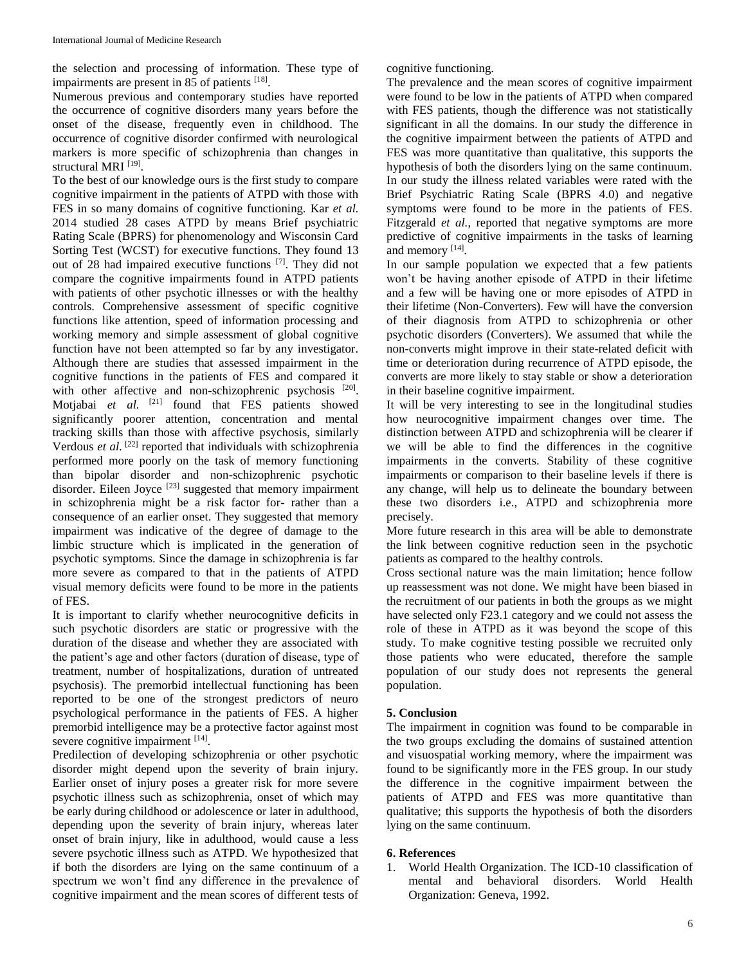the selection and processing of information. These type of impairments are present in 85 of patients [18].

Numerous previous and contemporary studies have reported the occurrence of cognitive disorders many years before the onset of the disease, frequently even in childhood. The occurrence of cognitive disorder confirmed with neurological markers is more specific of schizophrenia than changes in structural MRI<sup>[19]</sup>.

To the best of our knowledge ours is the first study to compare cognitive impairment in the patients of ATPD with those with FES in so many domains of cognitive functioning. Kar *et al.* 2014 studied 28 cases ATPD by means Brief psychiatric Rating Scale (BPRS) for phenomenology and Wisconsin Card Sorting Test (WCST) for executive functions. They found 13 out of 28 had impaired executive functions [7]. They did not compare the cognitive impairments found in ATPD patients with patients of other psychotic illnesses or with the healthy controls. Comprehensive assessment of specific cognitive functions like attention, speed of information processing and working memory and simple assessment of global cognitive function have not been attempted so far by any investigator. Although there are studies that assessed impairment in the cognitive functions in the patients of FES and compared it with other affective and non-schizophrenic psychosis [20]. Motjabai et al. <sup>[21]</sup> found that FES patients showed significantly poorer attention, concentration and mental tracking skills than those with affective psychosis, similarly Verdous *et al.* <sup>[22]</sup> reported that individuals with schizophrenia performed more poorly on the task of memory functioning than bipolar disorder and non-schizophrenic psychotic disorder. Eileen Joyce<sup>[23]</sup> suggested that memory impairment in schizophrenia might be a risk factor for- rather than a consequence of an earlier onset. They suggested that memory impairment was indicative of the degree of damage to the limbic structure which is implicated in the generation of psychotic symptoms. Since the damage in schizophrenia is far more severe as compared to that in the patients of ATPD visual memory deficits were found to be more in the patients of FES.

It is important to clarify whether neurocognitive deficits in such psychotic disorders are static or progressive with the duration of the disease and whether they are associated with the patient's age and other factors (duration of disease, type of treatment, number of hospitalizations, duration of untreated psychosis). The premorbid intellectual functioning has been reported to be one of the strongest predictors of neuro psychological performance in the patients of FES. A higher premorbid intelligence may be a protective factor against most severe cognitive impairment [14].

Predilection of developing schizophrenia or other psychotic disorder might depend upon the severity of brain injury. Earlier onset of injury poses a greater risk for more severe psychotic illness such as schizophrenia, onset of which may be early during childhood or adolescence or later in adulthood, depending upon the severity of brain injury, whereas later onset of brain injury, like in adulthood, would cause a less severe psychotic illness such as ATPD. We hypothesized that if both the disorders are lying on the same continuum of a spectrum we won't find any difference in the prevalence of cognitive impairment and the mean scores of different tests of

cognitive functioning.

The prevalence and the mean scores of cognitive impairment were found to be low in the patients of ATPD when compared with FES patients, though the difference was not statistically significant in all the domains. In our study the difference in the cognitive impairment between the patients of ATPD and FES was more quantitative than qualitative, this supports the hypothesis of both the disorders lying on the same continuum. In our study the illness related variables were rated with the Brief Psychiatric Rating Scale (BPRS 4.0) and negative symptoms were found to be more in the patients of FES. Fitzgerald *et al.*, reported that negative symptoms are more predictive of cognitive impairments in the tasks of learning and memory [14].

In our sample population we expected that a few patients won't be having another episode of ATPD in their lifetime and a few will be having one or more episodes of ATPD in their lifetime (Non-Converters). Few will have the conversion of their diagnosis from ATPD to schizophrenia or other psychotic disorders (Converters). We assumed that while the non-converts might improve in their state-related deficit with time or deterioration during recurrence of ATPD episode, the converts are more likely to stay stable or show a deterioration in their baseline cognitive impairment.

It will be very interesting to see in the longitudinal studies how neurocognitive impairment changes over time. The distinction between ATPD and schizophrenia will be clearer if we will be able to find the differences in the cognitive impairments in the converts. Stability of these cognitive impairments or comparison to their baseline levels if there is any change, will help us to delineate the boundary between these two disorders i.e., ATPD and schizophrenia more precisely.

More future research in this area will be able to demonstrate the link between cognitive reduction seen in the psychotic patients as compared to the healthy controls.

Cross sectional nature was the main limitation; hence follow up reassessment was not done. We might have been biased in the recruitment of our patients in both the groups as we might have selected only F23.1 category and we could not assess the role of these in ATPD as it was beyond the scope of this study. To make cognitive testing possible we recruited only those patients who were educated, therefore the sample population of our study does not represents the general population.

## **5. Conclusion**

The impairment in cognition was found to be comparable in the two groups excluding the domains of sustained attention and visuospatial working memory, where the impairment was found to be significantly more in the FES group. In our study the difference in the cognitive impairment between the patients of ATPD and FES was more quantitative than qualitative; this supports the hypothesis of both the disorders lying on the same continuum.

## **6. References**

1. World Health Organization. The ICD-10 classification of mental and behavioral disorders. World Health Organization: Geneva, 1992.